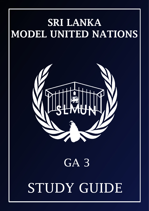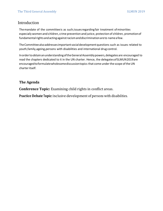# Introduction

Themandate of the committeeis as such;issuesregardingfair treatment ofminorities especially women and children, crime prevention and justice, protection of children, promotionof fundamental rights and acting against racism and discrimination are to name a few.

TheCommitteealsoaddressesimportantsocialdevelopmentquestions such as issues related to youth,family,ageing,persons with disabilities and international drug control.

In order to obtain an understanding of the General Assembly powers, delegates are encouraged to read the chapters dedicated to it in the UN charter. Hence, the delegatesofSLMUN2019are encouraged to formulate wholesome discussion topics that come under the scope of the UN charteritself.

# **The Agenda**

**Conference Topic:** Examining child rights in conflict areas.

**Practice Debate Topic:** Inclusive development of persons with disabilities.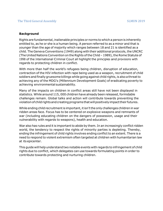#### **Background**

Rights are fundamental, inalienable principles or norms to which a person is inherently entitled to, as he or she is a human being. A person referred to as a minor and that is younger than the age of majority which ranges between 18 and 21 is identified as a child. The Geneva Conventions (1949) along with their additional protocols,the UNCRC (The United Nations Convention on the Rights of the Child – 1989), the Rome Statute of <sup>1998</sup> of the International Criminal Court all highlight the principles and provisions with regards to protecting children in conflict.

With more than half the world's refugees being children, disruption of education, contraction of the HIV infection with rape being used as a weapon, recruitment of child soldiers and finally gruesome killings while going against child rights, is also a threat to achieving any of the MDG's (Millennium Development Goals) of eradicating poverty to achieving environmental sustainability.

Many of the impacts on children in conflict areas still have not been displayed in statistics. While around 115, 000 children have already been released, formidable challenges remain. Global talks and action will contribute towards preventing the violation of child rights and creating programs that will positively impact their futures.

While ending child recruitment is important, it isn't the only challenges children in war ridden areas face. Focus has to be centered on explosive weapons and remnants of war (including educating children on the dangers of possession, usage and their vulnerability with regards to weapons), health and education.

War also has rules and it is important to abide by them. In an increasingly conflict ridden world, the tendency to respect the rights of minority parties is depleting. Thereby, ending the infringement of child rights involves ending conflict to an extent. There is a need to respond to violent extremism often targeted at children with humanitarian law at its epicenter.

This guide will help understand two notable events with regards to infringement of child rights due to conflict, which delegates can use towards formulating points in order to contribute towards protecting and nurturing children.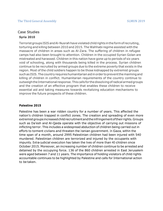# Case Studies **Syria 2010**

Terrorist groups ISIS and Al-Nusrah have violated child rights in the form of recruiting, torturing and killing between 2010 and 2015. The Wahhabi regime assisted with the massacre of children in areas such as Al-Zara. The suffering of children in refugee camps had also been brought to attention. Children in the occupied Syrian Golan are mistreated and harassed. Children in this nation have gone up to periods of six years void of schooling, along with thousands being killed in the process. Syrian children continue to be recruited by armed groups due to the extreme poverty that exists in the region. Most of the child soldiers happen to be those kidnapped by extremist groups suchas ISIS.Thecountryrequireshumanitarianaidinorder topreventthemaimingand killing of children in conflict. Humanitarian requirements of the country continue to outweigh the International response. This calls for the dissolving of radical armed groups and the creation of an effective program that enables these children to receive essential aid and taking measures towards revitalizing education mechanisms to improve the future prospects of these children.

### **Palestine 2015**

Palestine has been a war ridden country for a number of years. This affected the nation's children trapped in conflict zones. The creation and spreading of even more extremist groups increased child recruitment and the infringement of their rights. Groups such as Da'esh and Al-Qaida operate with the objective of carrying out missions of inflicting terror. This includes a widespread abduction of children being carried out in efforts to torment civilians and threaten the Iranian government. In Gaza, within the time span of a month, around 2995 Palestinian children had been injured with 540 murdered. Palestinian children are terrorized and injured by the occupants with impunity. Extra-judicial execution has taken the lives of more than <sup>40</sup> children since October 2015. Moreover, an increasing number of children continue to be arrested and detained by the occupying force. 136 of the 860 children arrested in East Jerusalem were aged between 7 and 11 years. The importance of holding violators of child rights accountable continues to be highlighted by Palestine and calls for International action to be taken.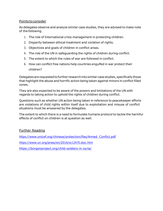### Points toconsider

As delegates observe and analyze similar case studies, they are advised to make note of the following.

- 1. The role of International crisis management in protecting children.
- 2. Disparity between ethical treatment and violation of rights.
- 3. Objectives and goals of children in conflict areas.
- 4. The role of the UN in safeguarding the rights of children during conflict.
- 5. The extent to which the rules of war are followed in conflict.
- 6. How can conflict free nations help countries engulfed in war protect their children?

Delegates are requested to further research into similar case studies, specifically those that highlight the abuse and horrific action being taken against minors in conflict filled zones.

They are also expected to be aware of the powers and limitations of the UN with regards to taking action to uphold the rights of children during conflict.

Questions such as whether UN action being taken in reference to peacekeeper efforts are violations of child rights within itself due to exploitation and misuse of conflict situations must be answered by the delegates.

The extent to which there is a need to formulate humane protocol to tackle the harmful effects of conflict on children is at question as well.

## Further Reading

[https://www.unicef.org/chinese/protection/files/Armed\\_Conflict.pdf](https://www.unicef.org/chinese/protection/files/Armed_Conflict.pdf) <https://www.un.org/press/en/2016/sc12470.doc.htm>

<https://borgenproject.org/child-soldiers-in-syria/>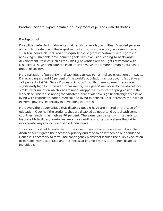# Practice Debate Topic**:** Inclusive development of persons with disabilities.

### **Background**

Disabilities refer to impairments that restrict everyday activities. Disabled persons account to create one of the largest minority groups in the world, representing around 1.5 billion individuals. Inclusion and equality are of great importance with regards to achieving sustainable development goals with exclusion leading to backwards development. Policies such as the CRPD (Convention on the Rights of Persons with Disabilities) have been adopted in an effort to move into a more human rights based model of society.

Marginalization of persons with disabilities can lead to harmful socio-economic impacts. Disregarding around 15 percent of the world's population can cost countries between 1-7 percent of GDP (Gross Domestic Product). While unemployment rates are significantly high for those with impairments, their peers' void of disabilities do not face similar discrimination which leads to unequal opportunity for career progression in the workplace.This is also noting that disabled individualshave significantlyhigher costsof living with regards to added medical and living expenses. This increases the risks of extreme poverty, especially in developing countries.

Moreover, the opportunities that disabled people have are limited in the case of education. Over half the students that are disabled do not attend school with some countries reaching as high as 90 percent. The same can be said with regards to inaccessible facilities, non-inclusive services and transportation systems that fail to incorporate ways to include disabled individuals.

It is also important to note that in the case of conflict or sudden evacuation, the disabled aren't given the necessary priority and tend to be left behind or abandoned. Hence it is necessary to formulate contingency plans that include the quick evacuation of persons with disabilities and not necessarily give priority to the non-disabled individuals.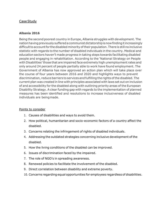## CaseStudy

### **Albania 2016**

Being the second poorest country in Europe, Albania struggles with development. The nationhavingpreviouslysufferedacommunistdictatorshipisnowfindingitincreasingly difficult to account for the disabled minority of their population. There is still no inclusive statistic with regards to the number of disabled individuals in the country. Medical and education sectors haven't made progress in taking steps towards facilitating disabled people and engaging in rehabilitation. According to the 'National Strategy on People with Disabilities'those that are impaired face extremely high unemployment rates and only around 24 percent of people partially able to work have found employment. The Government of Albania has now approved an action plan which will take place over the course of four years between 2016 and 2020 and highlights ways to prevent discrimination, reduce barriers to services andfulfilling the rights ofthe disabled. The current plan was created in line with principles associated with laws set out on inclusion of and accessibility for the disabled along with outlining priority areas of the European Disability Strategy. A clear funding gap with regards to the implementation of planned measures has been identified and resolutions to increase inclusiveness of disabled individuals are beingmade.

### Points to consider

- 1. Causes of disabilities and ways to avoid them.
- 2. How political, humanitarian and socio-economic factors of a country affect the disabled.
- 3. Concerns relating the infringement of rights of disabled individuals.
- 4. Addressing the outdated strategies concerning inclusive development of the disabled.
- 5. How the living conditions of the disabled can be improved.
- 6. Issues of discrimination faced by the impaired.
- 7. The role of NGO's in spreading awareness.
- 8. Renewed policies to facilitate the involvement of the disabled.
- 9. Direct correlation between disability and extreme poverty.
- 10. Concerns regarding equal opportunities for employees regardless of disabilities.